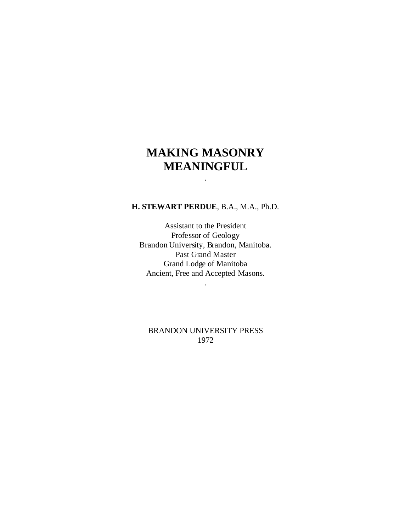# **MAKING MASONRY MEANINGFUL**

.

#### **H. STEWART PERDUE**, B.A., M.A., Ph.D.

Assistant to the President Professor of Geology Brandon University, Brandon, Manitoba. Past Grand Master Grand Lodge of Manitoba Ancient, Free and Accepted Masons.

.

BRANDON UNIVERSITY PRESS 1972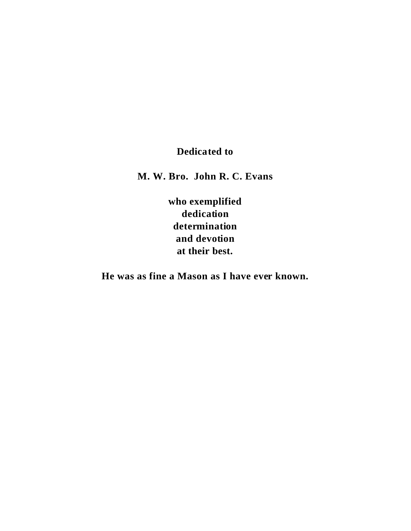## **Dedicated to**

**M. W. Bro. John R. C. Evans**

**who exemplified dedication determination and devotion at their best.**

**He was as fine a Mason as I have ever known.**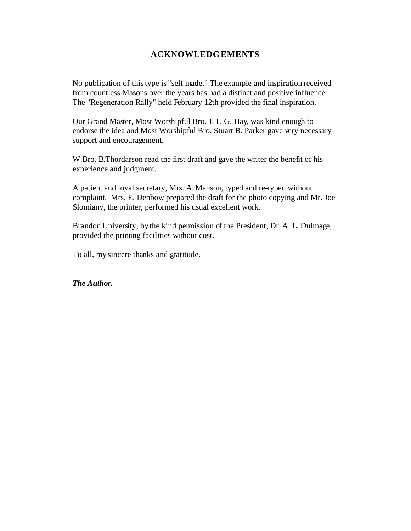## **ACKNOWLEDGEMENTS**

No publication of this type is "self made." The example and inspiration received from countless Masons over the years has had a distinct and positive influence. The "Regeneration Rally" held February 12th provided the final inspiration.

Our Grand Master, Most Worshipful Bro. J. L. G. Hay, was kind enough to endorse the idea and Most Worshipful Bro. Stuart B. Parker gave very necessary support and encouragement.

W.Bro. B.Thordarson read the first draft and gave the writer the benefit of his experience and judgment.

A patient and loyal secretary, Mrs. A. Manson, typed and re-typed without complaint. Mrs. E. Denbow prepared the draft for the photo copying and Mr. Joe Slomiany, the printer, performed his usual excellent work.

Brandon University, by the kind permission of the President, Dr. A. L. Dulmage, provided the printing facilities without cost.

To all, my sincere thanks and gratitude.

*The Author.*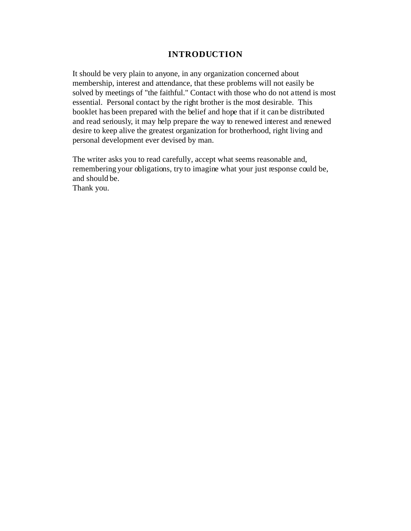## **INTRODUCTION**

It should be very plain to anyone, in any organization concerned about membership, interest and attendance, that these problems will not easily be solved by meetings of "the faithful." Contact with those who do not attend is most essential. Personal contact by the right brother is the most desirable. This booklet has been prepared with the belief and hope that if it can be distributed and read seriously, it may help prepare the way to renewed interest and renewed desire to keep alive the greatest organization for brotherhood, right living and personal development ever devised by man.

The writer asks you to read carefully, accept what seems reasonable and, remembering your obligations, try to imagine what your just response could be, and should be.

Thank you.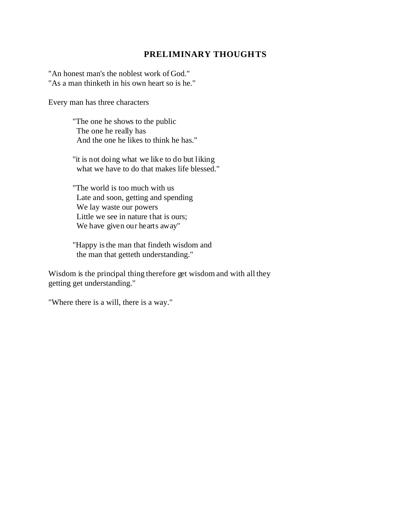## **PRELIMINARY THOUGHTS**

"An honest man's the noblest work of God." "As a man thinketh in his own heart so is he."

Every man has three characters

"The one he shows to the public The one he really has And the one he likes to think he has."

"it is not doing what we like to do but liking what we have to do that makes life blessed."

"The world is too much with us Late and soon, getting and spending We lay waste our powers Little we see in nature that is ours; We have given our hearts away"

"Happy is the man that findeth wisdom and the man that getteth understanding."

Wisdom is the principal thing therefore get wisdom and with all they getting get understanding."

"Where there is a will, there is a way."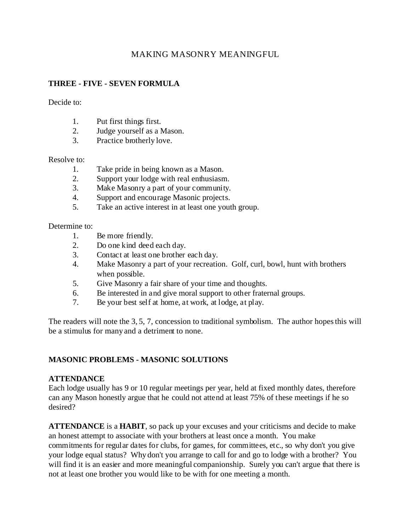## MAKING MASONRY MEANINGFUL

## **THREE - FIVE - SEVEN FORMULA**

Decide to:

- 1. Put first things first.
- 2. Judge yourself as a Mason.
- 3. Practice brotherly love.

#### Resolve to:

- 1. Take pride in being known as a Mason.
- 2. Support your lodge with real enthusiasm.
- 3. Make Masonry a part of your community.
- 4. Support and encourage Masonic projects.
- 5. Take an active interest in at least one youth group.

Determine to:

- 1. Be more friendly.
- 2. Do one kind deed each day.
- 3. Contact at least one brother each day.
- 4. Make Masonry a part of your recreation. Golf, curl, bowl, hunt with brothers when possible.
- 5. Give Masonry a fair share of your time and thoughts.
- 6. Be interested in and give moral support to other fraternal groups.
- 7. Be your best self at home, at work, at lodge, at play.

The readers will note the 3, 5, 7, concession to traditional symbolism. The author hopes this will be a stimulus for many and a detriment to none.

#### **MASONIC PROBLEMS - MASONIC SOLUTIONS**

#### **ATTENDANCE**

Each lodge usually has 9 or 10 regular meetings per year, held at fixed monthly dates, therefore can any Mason honestly argue that he could not attend at least 75% of these meetings if he so desired?

**ATTENDANCE** is a **HABIT**, so pack up your excuses and your criticisms and decide to make an honest attempt to associate with your brothers at least once a month. You make commitments for regular dates for clubs, for games, for committees, etc., so why don't you give your lodge equal status? Why don't you arrange to call for and go to lodge with a brother? You will find it is an easier and more meaningful companionship. Surely you can't argue that there is not at least one brother you would like to be with for one meeting a month.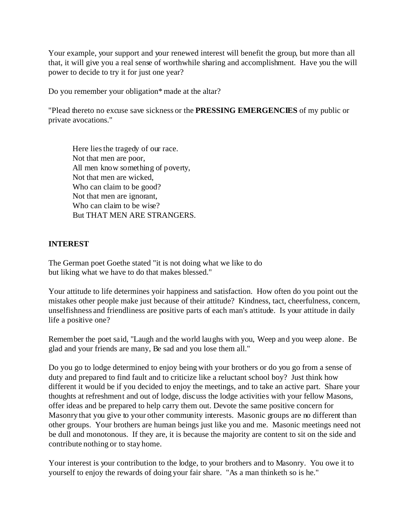Your example, your support and your renewed interest will benefit the group, but more than all that, it will give you a real sense of worthwhile sharing and accomplishment. Have you the will power to decide to try it for just one year?

Do you remember your obligation\* made at the altar?

"Plead thereto no excuse save sickness or the **PRESSING EMERGENCIES** of my public or private avocations."

Here lies the tragedy of our race. Not that men are poor, All men know something of poverty, Not that men are wicked, Who can claim to be good? Not that men are ignorant, Who can claim to be wise? But THAT MEN ARE STRANGERS.

#### **INTEREST**

The German poet Goethe stated "it is not doing what we like to do but liking what we have to do that makes blessed."

Your attitude to life determines yoir happiness and satisfaction. How often do you point out the mistakes other people make just because of their attitude? Kindness, tact, cheerfulness, concern, unselfishness and friendliness are positive parts of each man's attitude. Is your attitude in daily life a positive one?

Remember the poet said, "Laugh and the world laughs with you, Weep and you weep alone. Be glad and your friends are many, Be sad and you lose them all."

Do you go to lodge determined to enjoy being with your brothers or do you go from a sense of duty and prepared to find fault and to criticize like a reluctant school boy? Just think how different it would be if you decided to enjoy the meetings, and to take an active part. Share your thoughts at refreshment and out of lodge, discuss the lodge activities with your fellow Masons, offer ideas and be prepared to help carry them out. Devote the same positive concern for Masonry that you give to your other community interests. Masonic groups are no different than other groups. Your brothers are human beings just like you and me. Masonic meetings need not be dull and monotonous. If they are, it is because the majority are content to sit on the side and contribute nothing or to stay home.

Your interest is your contribution to the lodge, to your brothers and to Masonry. You owe it to yourself to enjoy the rewards of doing your fair share. "As a man thinketh so is he."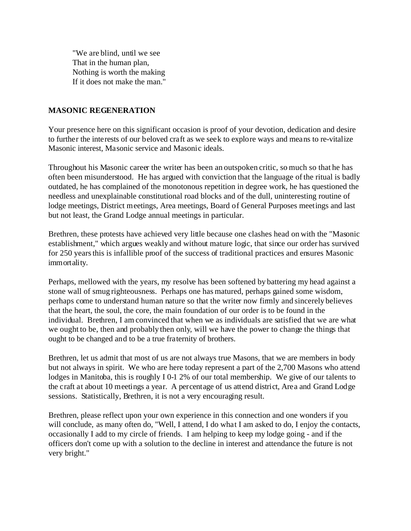"We are blind, until we see That in the human plan, Nothing is worth the making If it does not make the man."

#### **MASONIC REGENERATION**

Your presence here on this significant occasion is proof of your devotion, dedication and desire to further the interests of our beloved craft as we seek to explore ways and means to re-vitalize Masonic interest, Masonic service and Masonic ideals.

Throughout his Masonic career the writer has been an outspoken critic, so much so that he has often been misunderstood. He has argued with conviction that the language of the ritual is badly outdated, he has complained of the monotonous repetition in degree work, he has questioned the needless and unexplainable constitutional road blocks and of the dull, uninteresting routine of lodge meetings, District meetings, Area meetings, Board of General Purposes meetings and last but not least, the Grand Lodge annual meetings in particular.

Brethren, these protests have achieved very little because one clashes head on with the "Masonic establishment," which argues weakly and without mature logic, that since our order has survived for 250 years this is infallible proof of the success of traditional practices and ensures Masonic immortality.

Perhaps, mellowed with the years, my resolve has been softened by battering my head against a stone wall of smug righteousness. Perhaps one has matured, perhaps gained some wisdom, perhaps come to understand human nature so that the writer now firmly and sincerely believes that the heart, the soul, the core, the main foundation of our order is to be found in the individual. Brethren, I am convinced that when we as individuals are satisfied that we are what we ought to be, then and probably then only, will we have the power to change the things that ought to be changed and to be a true fraternity of brothers.

Brethren, let us admit that most of us are not always true Masons, that we are members in body but not always in spirit. We who are here today represent a part of the 2,700 Masons who attend lodges in Manitoba, this is roughly I 0-1 2% of our total membership. We give of our talents to the craft at about 10 meetings a year. A percentage of us attend district, Area and Grand Lodge sessions. Statistically, Brethren, it is not a very encouraging result.

Brethren, please reflect upon your own experience in this connection and one wonders if you will conclude, as many often do, "Well, I attend, I do what I am asked to do, I enjoy the contacts, occasionally I add to my circle of friends. I am helping to keep my lodge going - and if the officers don't come up with a solution to the decline in interest and attendance the future is not very bright."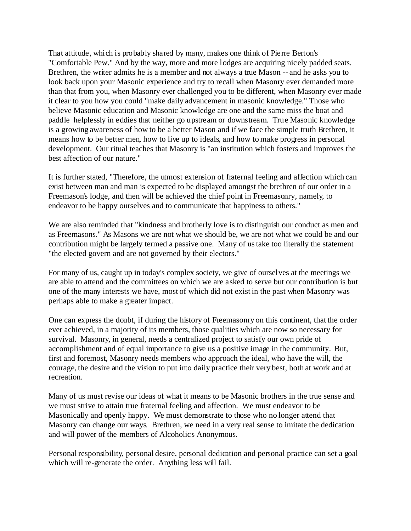That attitude, which is probably shared by many, makes one think of Pierre Berton's "Comfortable Pew." And by the way, more and more lodges are acquiring nicely padded seats. Brethren, the writer admits he is a member and not always a true Mason -- and he asks you to look back upon your Masonic experience and try to recall when Masonry ever demanded more than that from you, when Masonry ever challenged you to be different, when Masonry ever made it clear to you how you could "make daily advancement in masonic knowledge." Those who believe Masonic education and Masonic knowledge are one and the same miss the boat and paddle helplessly in eddies that neither go upstream or downstream. True Masonic knowledge is a growing awareness of how to be a better Mason and if we face the simple truth Brethren, it means how to be better men, how to live up to ideals, and how to make progress in personal development. Our ritual teaches that Masonry is "an institution which fosters and improves the best affection of our nature."

It is further stated, "Therefore, the utmost extension of fraternal feeling and affection which can exist between man and man is expected to be displayed amongst the brethren of our order in a Freemason's lodge, and then will be achieved the chief point in Freemasonry, namely, to endeavor to be happy ourselves and to communicate that happiness to others."

We are also reminded that "kindness and brotherly love is to distinguish our conduct as men and as Freemasons." As Masons we are not what we should be, we are not what we could be and our contribution might be largely termed a passive one. Many of us take too literally the statement "the elected govern and are not governed by their electors."

For many of us, caught up in today's complex society, we give of ourselves at the meetings we are able to attend and the committees on which we are asked to serve but our contribution is but one of the many interests we have, most of which did not exist in the past when Masonry was perhaps able to make a greater impact.

One can express the doubt, if during the history of Freemasonry on this continent, that the order ever achieved, in a majority of its members, those qualities which are now so necessary for survival. Masonry, in general, needs a centralized project to satisfy our own pride of accomplishment and of equal importance to give us a positive image in the community. But, first and foremost, Masonry needs members who approach the ideal, who have the will, the courage, the desire and the vision to put into daily practice their very best, both at work and at recreation.

Many of us must revise our ideas of what it means to be Masonic brothers in the true sense and we must strive to attain true fraternal feeling and affection. We must endeavor to be Masonically and openly happy. We must demonstrate to those who no longer attend that Masonry can change our ways. Brethren, we need in a very real sense to imitate the dedication and will power of the members of Alcoholics Anonymous.

Personal responsibility, personal desire, personal dedication and personal practice can set a goal which will re-generate the order. Anything less will fail.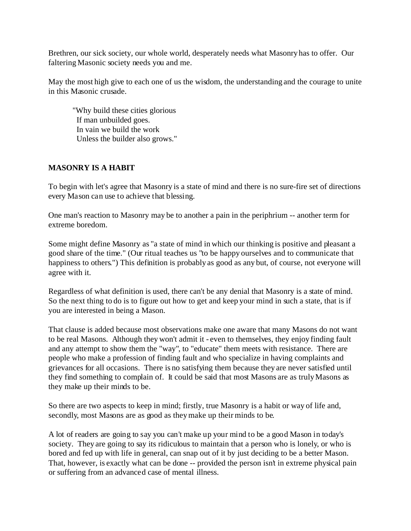Brethren, our sick society, our whole world, desperately needs what Masonry has to offer. Our faltering Masonic society needs you and me.

May the most high give to each one of us the wisdom, the understanding and the courage to unite in this Masonic crusade.

"Why build these cities glorious If man unbuilded goes. In vain we build the work Unless the builder also grows."

## **MASONRY IS A HABIT**

To begin with let's agree that Masonry is a state of mind and there is no sure-fire set of directions every Mason can use to achieve that blessing.

One man's reaction to Masonry may be to another a pain in the periphrium -- another term for extreme boredom.

Some might define Masonry as "a state of mind in which our thinking is positive and pleasant a good share of the time." (Our ritual teaches us "to be happy ourselves and to communicate that happiness to others.") This definition is probably as good as any but, of course, not everyone will agree with it.

Regardless of what definition is used, there can't be any denial that Masonry is a state of mind. So the next thing to do is to figure out how to get and keep your mind in such a state, that is if you are interested in being a Mason.

That clause is added because most observations make one aware that many Masons do not want to be real Masons. Although they won't admit it - even to themselves, they enjoy finding fault and any attempt to show them the "way", to "educate" them meets with resistance. There are people who make a profession of finding fault and who specialize in having complaints and grievances for all occasions. There is no satisfying them because they are never satisfied until they find something to complain of. It could be said that most Masons are as truly Masons as they make up their minds to be.

So there are two aspects to keep in mind; firstly, true Masonry is a habit or way of life and, secondly, most Masons are as good as they make up their minds to be.

A lot of readers are going to say you can't make up your mind to be a good Mason in today's society. They are going to say its ridiculous to maintain that a person who is lonely, or who is bored and fed up with life in general, can snap out of it by just deciding to be a better Mason. That, however, is exactly what can be done -- provided the person isn't in extreme physical pain or suffering from an advanced case of mental illness.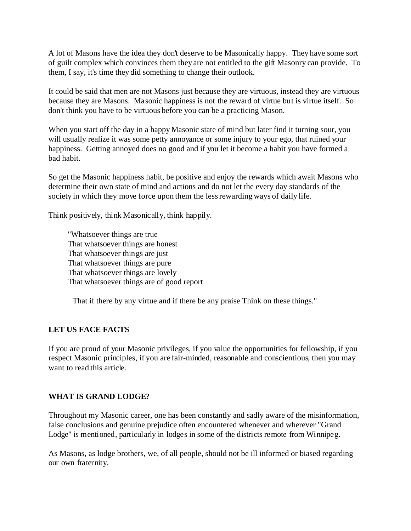A lot of Masons have the idea they don't deserve to be Masonically happy. They have some sort of guilt complex which convinces them they are not entitled to the gift Masonry can provide. To them, I say, it's time they did something to change their outlook.

It could be said that men are not Masons just because they are virtuous, instead they are virtuous because they are Masons. Masonic happiness is not the reward of virtue but is virtue itself. So don't think you have to be virtuous before you can be a practicing Mason.

When you start off the day in a happy Masonic state of mind but later find it turning sour, you will usually realize it was some petty annoyance or some injury to your ego, that ruined your happiness. Getting annoyed does no good and if you let it become a habit you have formed a bad habit.

So get the Masonic happiness habit, be positive and enjoy the rewards which await Masons who determine their own state of mind and actions and do not let the every day standards of the society in which they move force upon them the less rewarding ways of daily life.

Think positively, think Masonically, think happily.

"Whatsoever things are true That whatsoever things are honest That whatsoever things are just That whatsoever things are pure That whatsoever things are lovely That whatsoever things are of good report

That if there by any virtue and if there be any praise Think on these things."

#### **LET US FACE FACTS**

If you are proud of your Masonic privileges, if you value the opportunities for fellowship, if you respect Masonic principles, if you are fair-minded, reasonable and conscientious, then you may want to read this article.

#### **WHAT IS GRAND LODGE?**

Throughout my Masonic career, one has been constantly and sadly aware of the misinformation, false conclusions and genuine prejudice often encountered whenever and wherever "Grand Lodge" is mentioned, particularly in lodges in some of the districts remote from Winnipeg.

As Masons, as lodge brothers, we, of all people, should not be ill informed or biased regarding our own fraternity.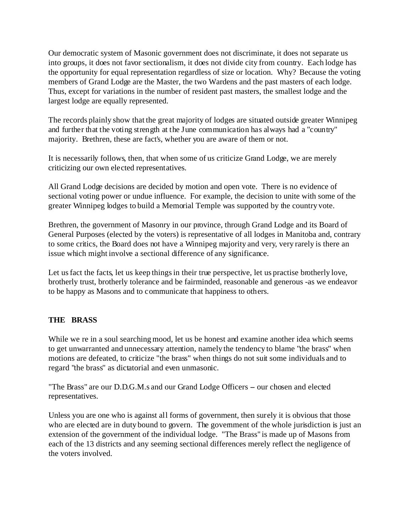Our democratic system of Masonic government does not discriminate, it does not separate us into groups, it does not favor sectionalism, it does not divide city from country. Each lodge has the opportunity for equal representation regardless of size or location. Why? Because the voting members of Grand Lodge are the Master, the two Wardens and the past masters of each lodge. Thus, except for variations in the number of resident past masters, the smallest lodge and the largest lodge are equally represented.

The records plainly show that the great majority of lodges are situated outside greater Winnipeg and further that the voting strength at the June communication has always had a "country" majority. Brethren, these are fact's, whether you are aware of them or not.

It is necessarily follows, then, that when some of us criticize Grand Lodge, we are merely criticizing our own elected representatives.

All Grand Lodge decisions are decided by motion and open vote. There is no evidence of sectional voting power or undue influence. For example, the decision to unite with some of the greater Winnipeg lodges to build a Memorial Temple was supported by the country vote.

Brethren, the government of Masonry in our province, through Grand Lodge and its Board of General Purposes (elected by the voters) is representative of all lodges in Manitoba and, contrary to some critics, the Board does not have a Winnipeg majority and very, very rarely is there an issue which might involve a sectional difference of any significance.

Let us fact the facts, let us keep things in their true perspective, let us practise brotherly love, brotherly trust, brotherly tolerance and be fairminded, reasonable and generous -as we endeavor to be happy as Masons and to communicate that happiness to others.

#### **THE BRASS**

While we re in a soul searching mood, let us be honest and examine another idea which seems to get unwarranted and unnecessary attention, namely the tendency to blame "the brass" when motions are defeated, to criticize "the brass" when things do not suit some individuals and to regard "the brass" as dictatorial and even unmasonic.

"The Brass" are our D.D.G.M.s and our Grand Lodge Officers - our chosen and elected representatives.

Unless you are one who is against all forms of government, then surely it is obvious that those who are elected are in duty bound to govern. The government of the whole jurisdiction is just an extension of the government of the individual lodge. "The Brass" is made up of Masons from each of the 13 districts and any seeming sectional differences merely reflect the negligence of the voters involved.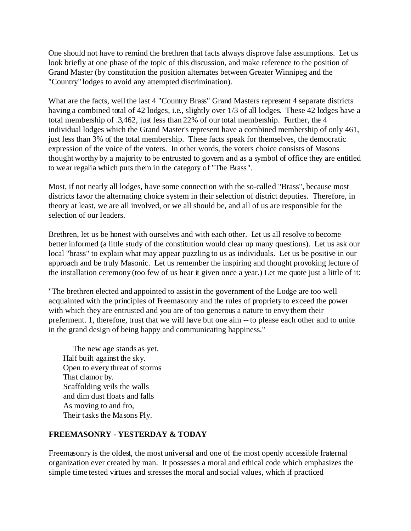One should not have to remind the brethren that facts always disprove false assumptions. Let us look briefly at one phase of the topic of this discussion, and make reference to the position of Grand Master (by constitution the position alternates between Greater Winnipeg and the "Country" lodges to avoid any attempted discrimination).

What are the facts, well the last 4 "Country Brass" Grand Masters represent 4 separate districts having a combined total of 42 lodges, i.e., slightly over 1/3 of all lodges. These 42 lodges have a total membership of .3,462, just less than 22% of our total membership. Further, the 4 individual lodges which the Grand Master's represent have a combined membership of only 461, just less than 3% of the total membership. These facts speak for themselves, the democratic expression of the voice of the voters. In other words, the voters choice consists of Masons thought worthy by a majority to be entrusted to govern and as a symbol of office they are entitled to wear regalia which puts them in the category of "The Brass".

Most, if not nearly all lodges, have some connection with the so-called "Brass", because most districts favor the alternating choice system in their selection of district deputies. Therefore, in theory at least, we are all involved, or we all should be, and all of us are responsible for the selection of our leaders.

Brethren, let us be honest with ourselves and with each other. Let us all resolve to become better informed (a little study of the constitution would clear up many questions). Let us ask our local "brass" to explain what may appear puzzling to us as individuals. Let us be positive in our approach and be truly Masonic. Let us remember the inspiring and thought provoking lecture of the installation ceremony (too few of us hear it given once a year.) Let me quote just a little of it:

"The brethren elected and appointed to assist in the government of the Lodge are too well acquainted with the principles of Freemasonry and the rules of propriety to exceed the power with which they are entrusted and you are of too generous a nature to envy them their preferment. 1, therefore, trust that we will have but one aim -- to please each other and to unite in the grand design of being happy and communicating happiness."

The new age stands as yet. Half built against the sky. Open to every threat of storms That clamor by. Scaffolding veils the walls and dim dust floats and falls As moving to and fro, Their tasks the Masons Ply.

#### **FREEMASONRY - YESTERDAY & TODAY**

Freemasonry is the oldest, the most universal and one of the most openly accessible fraternal organization ever created by man. It possesses a moral and ethical code which emphasizes the simple time tested virtues and stresses the moral and social values, which if practiced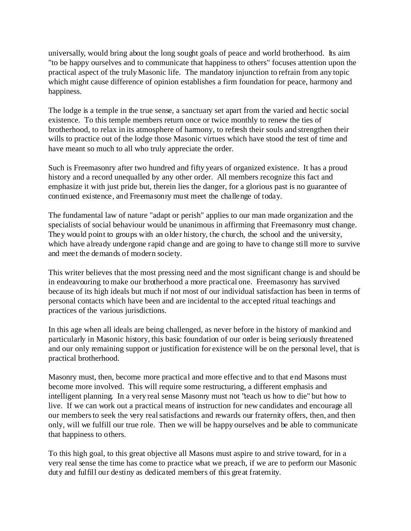universally, would bring about the long sought goals of peace and world brotherhood. Its aim "to be happy ourselves and to communicate that happiness to others" focuses attention upon the practical aspect of the truly Masonic life. The mandatory injunction to refrain from any topic which might cause difference of opinion establishes a firm foundation for peace, harmony and happiness.

The lodge is a temple in the true sense, a sanctuary set apart from the varied and hectic social existence. To this temple members return once or twice monthly to renew the ties of brotherhood, to relax in its atmosphere of harmony, to refresh their souls and strengthen their wills to practice out of the lodge those Masonic virtues which have stood the test of time and have meant so much to all who truly appreciate the order.

Such is Freemasonry after two hundred and fifty years of organized existence. It has a proud history and a record unequalled by any other order. All members recognize this fact and emphasize it with just pride but, therein lies the danger, for a glorious past is no guarantee of continued existence, and Freemasonry must meet the challenge of today.

The fundamental law of nature "adapt or perish" applies to our man made organization and the specialists of social behaviour would be unanimous in affirming that Freemasonry must change. They would point to groups with an older history, the church, the school and the university, which have already undergone rapid change and are going to have to change still more to survive and meet the demands of modern society.

This writer believes that the most pressing need and the most significant change is and should be in endeavouring to make our brotherhood a more practical one. Freemasonry has survived because of its high ideals but much if not most of our individual satisfaction has been in terms of personal contacts which have been and are incidental to the accepted ritual teachings and practices of the various jurisdictions.

In this age when all ideals are being challenged, as never before in the history of mankind and particularly in Masonic history, this basic foundation of our order is being seriously threatened and our only remaining support or justification for existence will be on the personal level, that is practical brotherhood.

Masonry must, then, become more practical and more effective and to that end Masons must become more involved. This will require some restructuring, a different emphasis and intelligent planning. In a very real sense Masonry must not "teach us how to die" but how to live. If we can work out a practical means of instruction for new candidates and encourage all our members to seek the very real satisfactions and rewards our fraternity offers, then, and then only, will we fulfill our true role. Then we will be happy ourselves and be able to communicate that happiness to others.

To this high goal, to this great objective all Masons must aspire to and strive toward, for in a very real sense the time has come to practice what we preach, if we are to perform our Masonic duty and fulfill our destiny as dedicated members of this great fraternity.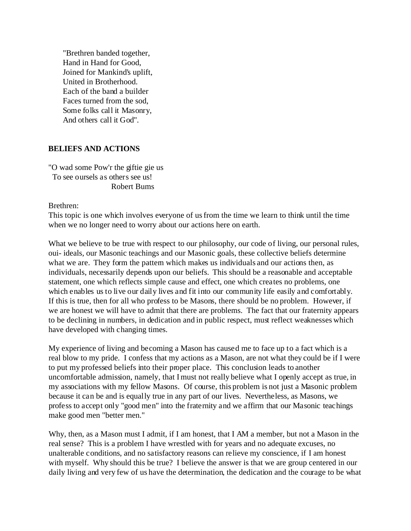"Brethren banded together, Hand in Hand for Good, Joined for Mankind's uplift, United in Brotherhood. Each of the band a builder Faces turned from the sod, Some folks call it Masonry, And others call it God".

#### **BELIEFS AND ACTIONS**

"O wad some Pow'r the giftie gie us To see oursels as others see us! Robert Bums

Brethren:

This topic is one which involves everyone of us from the time we learn to think until the time when we no longer need to worry about our actions here on earth.

What we believe to be true with respect to our philosophy, our code of living, our personal rules, oui- ideals, our Masonic teachings and our Masonic goals, these collective beliefs determine what we are. They form the pattern which makes us individuals and our actions then, as individuals, necessarily depends upon our beliefs. This should be a reasonable and acceptable statement, one which reflects simple cause and effect, one which creates no problems, one which enables us to live our daily lives and fit into our community life easily and comfortably. If this is true, then for all who profess to be Masons, there should be no problem. However, if we are honest we will have to admit that there are problems. The fact that our fraternity appears to be declining in numbers, in dedication and in public respect, must reflect weaknesses which have developed with changing times.

My experience of living and becoming a Mason has caused me to face up to a fact which is a real blow to my pride. I confess that my actions as a Mason, are not what they could be if I were to put my professed beliefs into their proper place. This conclusion leads to another uncomfortable admission, namely, that I must not really believe what I openly accept as true, in my associations with my fellow Masons. Of course, this problem is not just a Masonic problem because it can be and is equally true in any part of our lives. Nevertheless, as Masons, we profess to accept only "good men" into the fraternity and we affirm that our Masonic teachings make good men "better men."

Why, then, as a Mason must I admit, if I am honest, that I AM a member, but not a Mason in the real sense? This is a problem I have wrestled with for years and no adequate excuses, no unalterable conditions, and no satisfactory reasons can relieve my conscience, if I am honest with myself. Why should this be true? I believe the answer is that we are group centered in our daily living and very few of us have the determination, the dedication and the courage to be what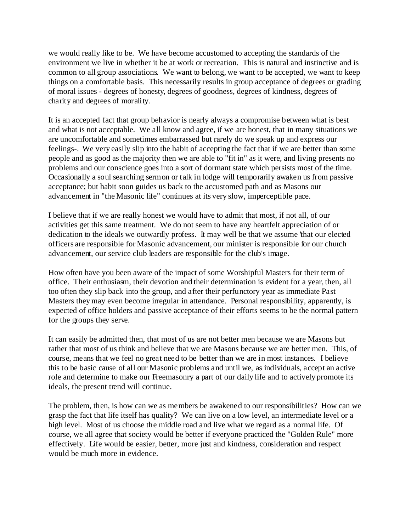we would really like to be. We have become accustomed to accepting the standards of the environment we live in whether it be at work or recreation. This is natural and instinctive and is common to all group associations. We want to belong, we want to be accepted, we want to keep things on a comfortable basis. This necessarily results in group acceptance of degrees or grading of moral issues - degrees of honesty, degrees of goodness, degrees of kindness, degrees of charity and degrees of morality.

It is an accepted fact that group behavior is nearly always a compromise between what is best and what is not acceptable. We all know and agree, if we are honest, that in many situations we are uncomfortable and sometimes embarrassed but rarely do we speak up and express our feelings-. We very easily slip into the habit of accepting the fact that if we are better than some people and as good as the majority then we are able to "fit in" as it were, and living presents no problems and our conscience goes into a sort of dormant state which persists most of the time. Occasionally a soul searching sermon or talk in lodge will temporarily awaken us from passive acceptance; but habit soon guides us back to the accustomed path and as Masons our advancement in "the Masonic life" continues at its very slow, imperceptible pace.

I believe that if we are really honest we would have to admit that most, if not all, of our activities get this same treatment. We do not seem to have any heartfelt appreciation of or dedication to the ideals we outwardly profess. It may well be that we assume 'that our elected officers are responsible for Masonic advancement, our minister is responsible for our church advancement, our service club leaders are responsible for the club's image.

How often have you been aware of the impact of some Worshipful Masters for their term of office. Their enthusiasm, their devotion and their determination is evident for a year, then, all too often they slip back into the group, and after their perfunctory year as immediate Past Masters they may even become irregular in attendance. Personal responsibility, apparently, is expected of office holders and passive acceptance of their efforts seems to be the normal pattern for the groups they serve.

It can easily be admitted then, that most of us are not better men because we are Masons but rather that most of us think and believe that we are Masons because we are better men. This, of course, means that we feel no great need to be better than we are in most instances. I believe this to be basic cause of all our Masonic problems and until we, as individuals, accept an active role and determine to make our Freemasonry a part of our daily life and to actively promote its ideals, the present trend will continue.

The problem, then, is how can we as members be awakened to our responsibilities? How can we grasp the fact that life itself has quality? We can live on a low level, an intermediate level or a high level. Most of us choose the middle road and live what we regard as a normal life. Of course, we all agree that society would be better if everyone practiced the "Golden Rule" more effectively. Life would be easier, better, more just and kindness, consideration and respect would be much more in evidence.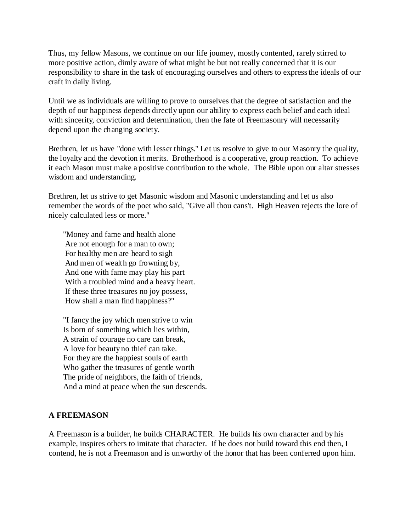Thus, my fellow Masons, we continue on our life journey, mostly contented, rarely stirred to more positive action, dimly aware of what might be but not really concerned that it is our responsibility to share in the task of encouraging ourselves and others to express the ideals of our craft in daily living.

Until we as individuals are willing to prove to ourselves that the degree of satisfaction and the depth of our happiness depends directly upon our ability to express each belief and each ideal with sincerity, conviction and determination, then the fate of Freemasonry will necessarily depend upon the changing society.

Brethren, let us have "done with lesser things." Let us resolve to give to our Masonry the quality, the loyalty and the devotion it merits. Brotherhood is a cooperative, group reaction. To achieve it each Mason must make a positive contribution to the whole. The Bible upon our altar stresses wisdom and understanding.

Brethren, let us strive to get Masonic wisdom and Masonic understanding and let us also remember the words of the poet who said, "Give all thou cans't. High Heaven rejects the lore of nicely calculated less or more."

"Money and fame and health alone Are not enough for a man to own; For healthy men are heard to sigh And men of wealth go frowning by, And one with fame may play his part With a troubled mind and a heavy heart. If these three treasures no joy possess, How shall a man find happiness?"

"I fancy the joy which men strive to win Is born of something which lies within, A strain of courage no care can break, A love for beauty no thief can take. For they are the happiest souls of earth Who gather the treasures of gentle worth The pride of neighbors, the faith of friends, And a mind at peace when the sun descends.

#### **A FREEMASON**

A Freemason is a builder, he builds CHARACTER. He builds his own character and by his example, inspires others to imitate that character. If he does not build toward this end then, I contend, he is not a Freemason and is unworthy of the honor that has been conferred upon him.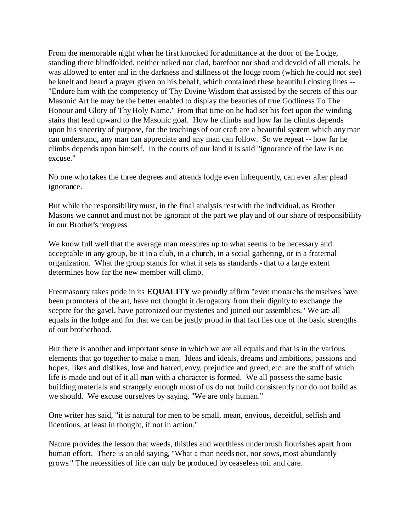From the memorable night when he first knocked for admittance at the door of the Lodge, standing there blindfolded, neither naked nor clad, barefoot nor shod and devoid of all metals, he was allowed to enter and in the darkness and stillness of the lodge room (which he could not see) he knelt and heard a prayer given on his behalf, which contained these beautiful closing lines -- "Endure him with the competency of Thy Divine Wisdom that assisted by the secrets of this our Masonic Art he may be the better enabled to display the beauties of true Godliness To The Honour and Glory of Thy Holy Name." From that time on he had set his feet upon the winding stairs that lead upward to the Masonic goal. How he climbs and how far he climbs depends upon his sincerity of purpose, for the teachings of our craft are a beautiful system which any man can understand, any man can appreciate and any man can follow. So we repeat -- how far he climbs depends upon himself. In the courts of our land it is said "ignorance of the law is no excuse."

No one who takes the three degrees and attends lodge even infrequently, can ever after plead ignorance.

But while the responsibility must, in the final analysis rest with the individual, as Brother Masons we cannot and must not be ignorant of the part we play and of our share of responsibility in our Brother's progress.

We know full well that the average man measures up to what seems to be necessary and acceptable in any group, be it in a club, in a church, in a social gathering, or in a fraternal organization. What the group stands for what it sets as standards - that to a large extent determines how far the new member will climb.

Freemasonry takes pride in its **EQUALITY** we proudly affirm "even monarchs themselves have been promoters of the art, have not thought it derogatory from their dignity to exchange the sceptre for the gavel, have patronized our mysteries and joined our assemblies." We are all equals in the lodge and for that we can be justly proud in that fact lies one of the basic strengths of our brotherhood.

But there is another and important sense in which we are all equals and that is in the various elements that go together to make a man. Ideas and ideals, dreams and ambitions, passions and hopes, likes and dislikes, love and hatred, envy, prejudice and greed, etc. are the stuff of which life is made and out of it all man with a character is formed. We all possess the same basic building materials and strangely enough most of us do not build consistently nor do not build as we should. We excuse ourselves by saying, "We are only human."

One writer has said, "it is natural for men to be small, mean, envious, deceitful, selfish and licentious, at least in thought, if not in action."

Nature provides the lesson that weeds, thistles and worthless underbrush flourishes apart from human effort. There is an old saying, "What a man needs not, nor sows, most abundantly grows." The necessities of life can only be produced by ceaseless toil and care.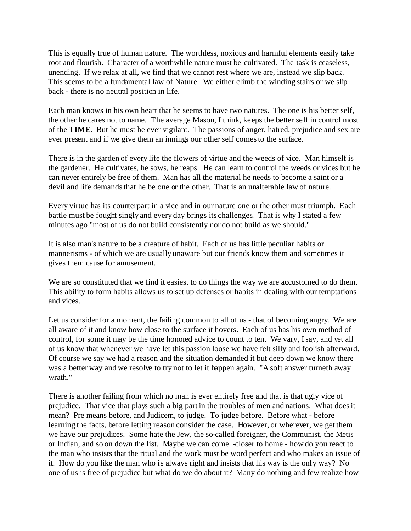This is equally true of human nature. The worthless, noxious and harmful elements easily take root and flourish. Character of a worthwhile nature must be cultivated. The task is ceaseless, unending. If we relax at all, we find that we cannot rest where we are, instead we slip back. This seems to be a fundamental law of Nature. We either climb the winding stairs or we slip back - there is no neutral position in life.

Each man knows in his own heart that he seems to have two natures. The one is his better self, the other he cares not to name. The average Mason, I think, keeps the better self in control most of the **TIME**. But he must be ever vigilant. The passions of anger, hatred, prejudice and sex are ever present and if we give them an innings our other self comes to the surface.

There is in the garden of every life the flowers of virtue and the weeds of vice. Man himself is the gardener. He cultivates, he sows, he reaps. He can learn to control the weeds or vices but he can never entirely be free of them. Man has all the material he needs to become a saint or a devil and life demands that he be one or the other. That is an unalterable law of nature.

Every virtue has its counterpart in a vice and in our nature one or the other must triumph. Each battle must be fought singly and every day brings its challenges. That is why I stated a few minutes ago "most of us do not build consistently nor do not build as we should."

It is also man's nature to be a creature of habit. Each of us has little peculiar habits or mannerisms - of which we are usually unaware but our friends know them and sometimes it gives them cause for amusement.

We are so constituted that we find it easiest to do things the way we are accustomed to do them. This ability to form habits allows us to set up defenses or habits in dealing with our temptations and vices.

Let us consider for a moment, the failing common to all of us - that of becoming angry. We are all aware of it and know how close to the surface it hovers. Each of us has his own method of control, for some it may be the time honored advice to count to ten. We vary, I say, and yet all of us know that whenever we have let this passion loose we have felt silly and foolish afterward. Of course we say we had a reason and the situation demanded it but deep down we know there was a better way and we resolve to try not to let it happen again. "A soft answer turneth away wrath."

There is another failing from which no man is ever entirely free and that is that ugly vice of prejudice. That vice that plays such a big part in the troubles of men and nations. What does it mean? Pre means before, and Judicem, to judge. To judge before. Before what - before learning the facts, before letting reason consider the case. However, or wherever, we get them we have our prejudices. Some hate the Jew, the so-called foreigner, the Communist, the Metis or Indian, and so on down the list. Maybe we can come..-closer to home - how do you react to the man who insists that the ritual and the work must be word perfect and who makes an issue of it. How do you like the man who is always right and insists that his way is the only way? No one of us is free of prejudice but what do we do about it? Many do nothing and few realize how